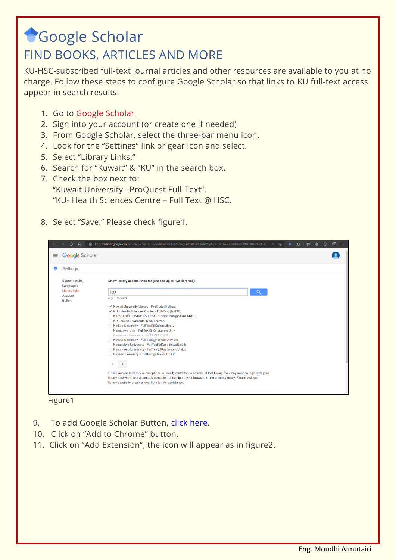## **Google Scholar** FIND BOOKS, ARTICLES AND MORE

KU-HSC-subscribed full-text journal articles and other resources are available to you at no charge. Follow these steps to configure Google Scholar so that links to KU full-text access appear in search results:

- 1. Go to Google [Scholar](https://scholar.google.com/)
- 2. Sign into your account (or create one if needed)
- 3. From Google Scholar, select the three-bar menu icon.
- 4. Look for the "Settings" link or gear icon and select.
- 5. Select "Library Links."
- 6. Search for "Kuwait" & "KU" in the search box.
- 7. Check the box next to:

"Kuwait University– ProQuest Full-Text".

"KU- Health Sciences Centre – Full Text @ HSC.

8. Select "Save." Please check figure1.

| $\leftarrow$ | C.<br>⋒                                          | ⊕<br>Ĝ https://scholar.google.com/scholar_setprefs?g=kuwait&inststart=0&scisig=AAGBfm0AAAAAYnylbVmbX4xXowDHYUb3s4fRRMCTf0Yd&xsrf=A<br>্যে<br>≮≋<br>හ<br>$A_{\rho}$<br>$\frac{1}{2}$                                                                                                                                                                                                                                                                                                                                                        |
|--------------|--------------------------------------------------|--------------------------------------------------------------------------------------------------------------------------------------------------------------------------------------------------------------------------------------------------------------------------------------------------------------------------------------------------------------------------------------------------------------------------------------------------------------------------------------------------------------------------------------------|
| ≡            | <b>Google</b> Scholar                            |                                                                                                                                                                                                                                                                                                                                                                                                                                                                                                                                            |
|              | Settings                                         |                                                                                                                                                                                                                                                                                                                                                                                                                                                                                                                                            |
|              | Search results<br>Languages                      | Show library access links for (choose up to five libraries):                                                                                                                                                                                                                                                                                                                                                                                                                                                                               |
|              | <b>Library links</b><br>Account<br><b>Button</b> | $\alpha$<br>KU                                                                                                                                                                                                                                                                                                                                                                                                                                                                                                                             |
|              |                                                  | e.g., Harvard                                                                                                                                                                                                                                                                                                                                                                                                                                                                                                                              |
|              |                                                  | Kuwait University Library - ProQuest Fulltext<br>KU - Health Sciences Center - Full-Text @ HSC<br>KIRKLARELI UNIVERSITESI - E-resources@KIRKLARELI<br>KU Leuven - Available in KU Leuven<br>Kafkas University - FullText@KafkasLibrary<br>Kanagawa Univ - FullText@Kanagawa Univ<br>Kanazawa University - 金大LINKで探す<br>Kansai University - Full-Text@Kansai Univ Lib<br>Kapadokya University - FullText@KapadokyaUniLib<br>Kastamonu University - FullText@KastamonuUniLib<br>Kayseri University - FullText@KayseriUniLib<br>$\rightarrow$ |
|              |                                                  | Online access to library subscriptions is usually restricted to patrons of that library. You may need to login with your<br>library password, use a campus computer, or configure your browser to use a library proxy. Please visit your<br>library's website or ask a local librarian for assistance.                                                                                                                                                                                                                                     |



- 9. To add Google Scholar Button, [click here.](https://chrome.google.com/webstore/detail/google-scholar-button/ldipcbpaocekfooobnbcddclnhejkcpn)
- 10. Click on "Add to Chrome" button.
- 11. Click on "Add Extension", the icon will appear as in figure2.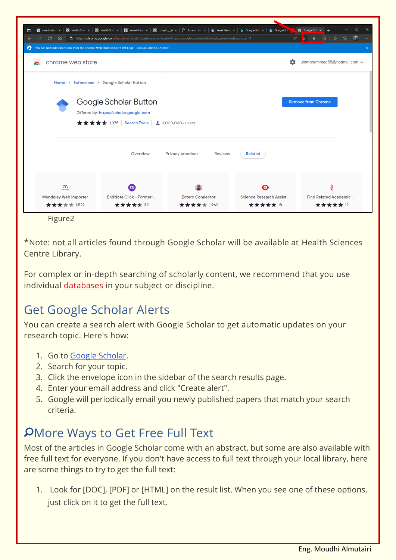| $\Box$<br>$\bullet$ heart failure $\times$                                                                                                    |                                                                                                                                                                           | د مقرير البصد، عال X   ᠿ Access Libr∈ x   ﴾ [ealth Scie⊢ x   @ Health Scie x   مقرير البصد، عال Scie⊢ x   مقرير البصد، عال الله عال Scie⊢ x   @ Health Scie x   مقرير البصد، عال الله عال الله عن الله عن الله عن الله عن ا | Google Sch                             | $\bigcirc$ Google Sch $\times$ +              |  |  |
|-----------------------------------------------------------------------------------------------------------------------------------------------|---------------------------------------------------------------------------------------------------------------------------------------------------------------------------|-----------------------------------------------------------------------------------------------------------------------------------------------------------------------------------------------------------------------------|----------------------------------------|-----------------------------------------------|--|--|
| https://chrome.google.com/webstore/detail/google-scholar-button/IdipcbpaocekfooobnbcddcInhejkcpn/related?authuser=1<br>G<br>⋒<br>$\leftarrow$ |                                                                                                                                                                           | দ্দি<br>⊀ั≡                                                                                                                                                                                                                 |                                        |                                               |  |  |
| $\boldsymbol{\Omega}$<br>You can now add extensions from the Chrome Web Store to Microsoft Edge - Click on 'Add to Chrome'.<br>$\times$       |                                                                                                                                                                           |                                                                                                                                                                                                                             |                                        |                                               |  |  |
| chrome web store                                                                                                                              | o                                                                                                                                                                         | ummohammed55@hotmail.com ↓                                                                                                                                                                                                  |                                        |                                               |  |  |
| Home > Extensions > Google Scholar Button                                                                                                     |                                                                                                                                                                           |                                                                                                                                                                                                                             |                                        |                                               |  |  |
|                                                                                                                                               | Google Scholar Button<br><b>Remove from Chrome</b><br>Offered by: https://scholar.google.com<br>$\star \star \star \star \star$ 1,375   Search Tools   2 3,000,000+ users |                                                                                                                                                                                                                             |                                        |                                               |  |  |
|                                                                                                                                               | Overview                                                                                                                                                                  | <b>Privacy practices</b><br><b>Reviews</b>                                                                                                                                                                                  | <b>Related</b>                         |                                               |  |  |
| m<br>Mendeley<br>Mendeley Web Importer<br>★★★★★ 1,522                                                                                         | EN<br>EndNote Click - Formerl<br>★★★★★ 311                                                                                                                                | <b>Zotero Connector</b><br>★★★★★ 1,962                                                                                                                                                                                      | ⋒<br>Science Research Assist<br>****** | Š<br>Find Related Academic<br><b>*****</b> 12 |  |  |
| Figure <sub>2</sub>                                                                                                                           |                                                                                                                                                                           |                                                                                                                                                                                                                             |                                        |                                               |  |  |

\*Note: not all articles found through Google Scholar will be available at Health Sciences Centre Library.

For complex or in-depth searching of scholarly content, we recommend that you use individual *[databases](http://horizon.hsc.edu.kw/library/index.asp?page=DBe)* in your subject or discipline.

## Get Google Scholar Alerts

You can create a search alert with Google Scholar to get automatic updates on your research topic. Here's how:

- 1. Go to [Google Scholar.](https://comlib.idm.oclc.org/login?url=https://scholar.google.com/)
- 2. Search for your topic.
- 3. Click the envelope icon in the sidebar of the search results page.
- 4. Enter your email address and click "Create alert".
- 5. Google will periodically email you newly published papers that match your search criteria.

## More Ways to Get Free Full Text

Most of the articles in Google Scholar come with an abstract, but some are also available with free full text for everyone. If you don't have access to full text through your local library, here are some things to try to get the full text:

1. Look for [DOC], [PDF] or [HTML] on the result list. When you see one of these options, just click on it to get the full text.